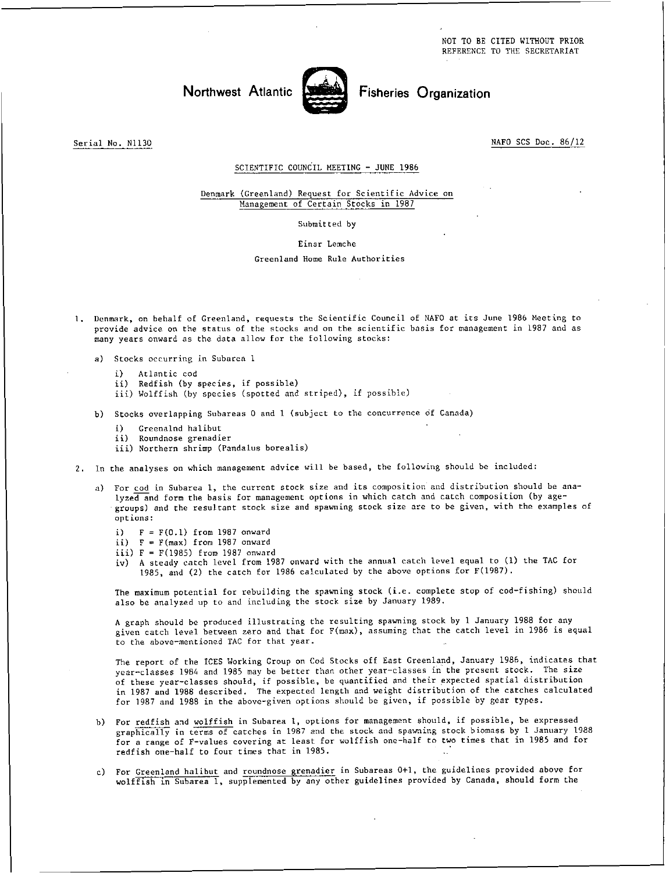NOT TO BE CITED WITHOUT PRIOR REFERENCE TO THE SECRETARIAT

## Northwest Atlantic **Notified** Fisheries Organization



Serial No. N1130 NAFO SCS Doc. 86/12

## SCIENTIFIC COUNCIL MEETING - JUNE 1986

## Denmark (Greenland) Request for Scientific Advice on Management of Certain Stocks in 1987

Submitted by

Einar Lemche

Greenland Home Rule Authorities

- 1. Denmark, on behalf of Greenland, requests the Scientific Council of NAFO at its June 1986 Meeting to provide advice on the status of the stocks and on the scientific basis for management in 1987 and as many years onward as the data allow for the following stocks:
	- a) Stocks occurring in Subarea 1
		- i) Atlantic cod
		- ii) Redfish (by species, if possible)
		- iii) Wolffish (by species (spotted and striped), if possible)
	- b) Stocks overlapping Subareas 0 and 1 (subject to the concurrence of Canada)
		- i) Greenalnd halibut
		- ii) Roundnose grenadier
		- iii) Northern shrimp (Pandalus borealis)
- 2. In the analyses on which management advice will be based, the following should be included:
	- For cod in Subarea 1, the current stock size and its composition and distribution should be analyzed and form the basis for management options in which catch and catch composition (by agegroups) and the resultant stock size and spawning stock size are to be given, with the examples of options:
		- i)  $F = F(0.1)$  from 1987 onward
		- ii)  $F = F(max)$  from 1987 onward
		- iii) F = F(1985) from 1987 onward
		- iv) A steady catch level from 1987 onward with the annual catch level equal to (1) the TAC for 1985, and (2) the catch for 1986 calculated by the above options for F(1987).

The maximum potential for rebuilding the spawning stock (i.e. complete stop of cod-fishing) should also be analyzed up to and including the stock size by January 1989.

A graph should be produced illustrating the resulting spawning stock by 1 January 1988 for any given catch level between zero and that for F(max), assuming that the catch level in 1986 is equal to the above-mentioned TAC for that year.

The report of the ICES Working Group on Cod Stocks off East Greenland, January 1986, indicates that year-classes 1984 and 1985 may be better than other year-classes in the present stock. The size of these year-classes should, if possible, be quantified and their expected spatial distribution in 1987 and 1988 described. The expected length and weight distribution of the catches calculated for 1987 and 1988 in the above-given options should be given, if possible by gear types.

- b) For redfish and wolffish in Subarea 1, options for management should, if possible, be expressed graphically in terms of catches in 1987 and the stock and spawning stock biomass by 1 January 1988 for a range of F-values covering at least for wolffish one-half to two times that in 1985 and for redfish one-half to four times that in 1985.
- c) For Greenland halibut and roundnose grenadier in Subareas 0+1, the guidelines provided above for wolffish in Subarea 1, supplemented by any other guidelines provided by Canada, should form the